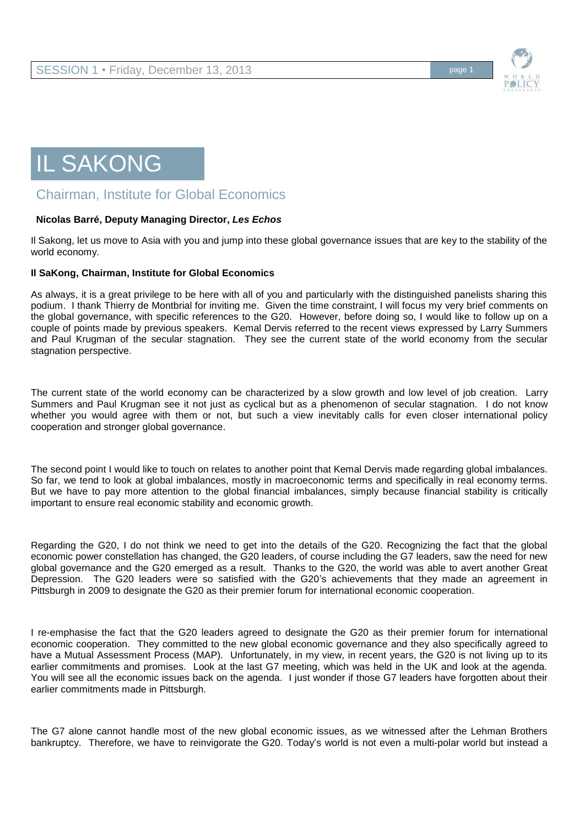

## IL SAKONG

## Chairman, Institute for Global Economics

## **Nicolas Barré, Deputy Managing Director,** *Les Echos*

Il Sakong, let us move to Asia with you and jump into these global governance issues that are key to the stability of the world economy.

## **Il SaKong, Chairman, Institute for Global Economics**

As always, it is a great privilege to be here with all of you and particularly with the distinguished panelists sharing this podium. I thank Thierry de Montbrial for inviting me. Given the time constraint, I will focus my very brief comments on the global governance, with specific references to the G20. However, before doing so, I would like to follow up on a couple of points made by previous speakers. Kemal Dervis referred to the recent views expressed by Larry Summers and Paul Krugman of the secular stagnation. They see the current state of the world economy from the secular stagnation perspective.

The current state of the world economy can be characterized by a slow growth and low level of job creation. Larry Summers and Paul Krugman see it not just as cyclical but as a phenomenon of secular stagnation. I do not know whether you would agree with them or not, but such a view inevitably calls for even closer international policy cooperation and stronger global governance.

The second point I would like to touch on relates to another point that Kemal Dervis made regarding global imbalances. So far, we tend to look at global imbalances, mostly in macroeconomic terms and specifically in real economy terms. But we have to pay more attention to the global financial imbalances, simply because financial stability is critically important to ensure real economic stability and economic growth.

Regarding the G20, I do not think we need to get into the details of the G20. Recognizing the fact that the global economic power constellation has changed, the G20 leaders, of course including the G7 leaders, saw the need for new global governance and the G20 emerged as a result. Thanks to the G20, the world was able to avert another Great Depression. The G20 leaders were so satisfied with the G20's achievements that they made an agreement in Pittsburgh in 2009 to designate the G20 as their premier forum for international economic cooperation.

I re-emphasise the fact that the G20 leaders agreed to designate the G20 as their premier forum for international economic cooperation. They committed to the new global economic governance and they also specifically agreed to have a Mutual Assessment Process (MAP). Unfortunately, in my view, in recent years, the G20 is not living up to its earlier commitments and promises. Look at the last G7 meeting, which was held in the UK and look at the agenda. You will see all the economic issues back on the agenda. I just wonder if those G7 leaders have forgotten about their earlier commitments made in Pittsburgh.

The G7 alone cannot handle most of the new global economic issues, as we witnessed after the Lehman Brothers bankruptcy. Therefore, we have to reinvigorate the G20. Today's world is not even a multi-polar world but instead a